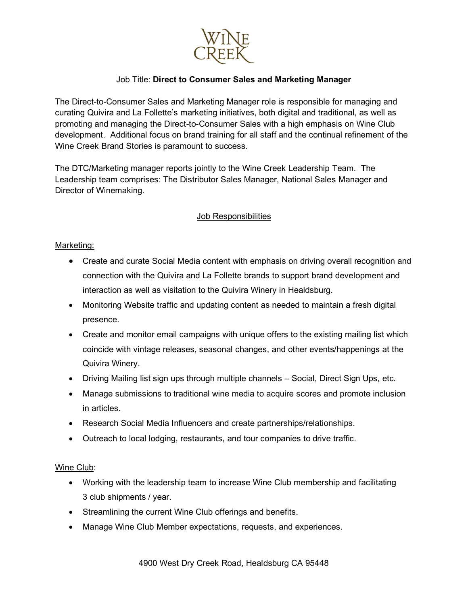

# Job Title: **Direct to Consumer Sales and Marketing Manager**

The Direct-to-Consumer Sales and Marketing Manager role is responsible for managing and curating Quivira and La Follette's marketing initiatives, both digital and traditional, as well as promoting and managing the Direct-to-Consumer Sales with a high emphasis on Wine Club development. Additional focus on brand training for all staff and the continual refinement of the Wine Creek Brand Stories is paramount to success.

The DTC/Marketing manager reports jointly to the Wine Creek Leadership Team. The Leadership team comprises: The Distributor Sales Manager, National Sales Manager and Director of Winemaking.

## Job Responsibilities

### Marketing:

- Create and curate Social Media content with emphasis on driving overall recognition and connection with the Quivira and La Follette brands to support brand development and interaction as well as visitation to the Quivira Winery in Healdsburg.
- Monitoring Website traffic and updating content as needed to maintain a fresh digital presence.
- Create and monitor email campaigns with unique offers to the existing mailing list which coincide with vintage releases, seasonal changes, and other events/happenings at the Quivira Winery.
- Driving Mailing list sign ups through multiple channels Social, Direct Sign Ups, etc.
- Manage submissions to traditional wine media to acquire scores and promote inclusion in articles.
- Research Social Media Influencers and create partnerships/relationships.
- Outreach to local lodging, restaurants, and tour companies to drive traffic.

### Wine Club:

- Working with the leadership team to increase Wine Club membership and facilitating 3 club shipments / year.
- Streamlining the current Wine Club offerings and benefits.
- Manage Wine Club Member expectations, requests, and experiences.